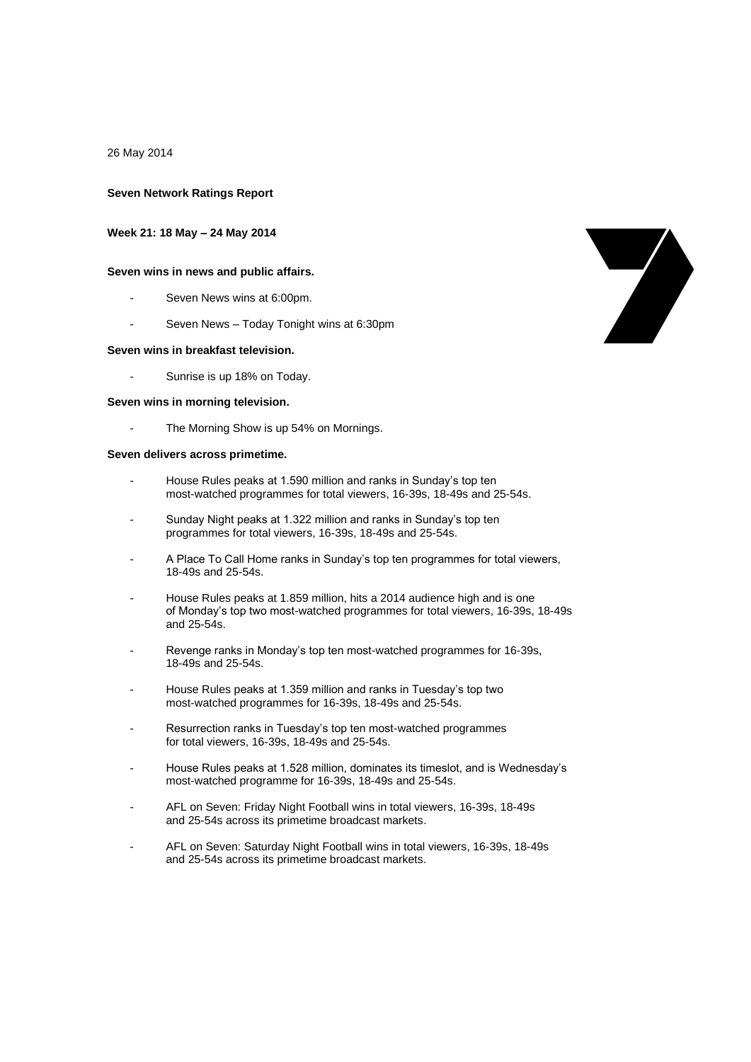26 May 2014

### **Seven Network Ratings Report**

### **Week 21: 18 May – 24 May 2014**

### **Seven wins in news and public affairs.**

- Seven News wins at 6:00pm.
- Seven News Today Tonight wins at 6:30pm

### **Seven wins in breakfast television.**

- Sunrise is up 18% on Today.

### **Seven wins in morning television.**

The Morning Show is up 54% on Mornings.

### **Seven delivers across primetime.**

- House Rules peaks at 1.590 million and ranks in Sunday's top ten most-watched programmes for total viewers, 16-39s, 18-49s and 25-54s.
- Sunday Night peaks at 1.322 million and ranks in Sunday's top ten programmes for total viewers, 16-39s, 18-49s and 25-54s.
- A Place To Call Home ranks in Sunday's top ten programmes for total viewers, 18-49s and 25-54s.
- House Rules peaks at 1.859 million, hits a 2014 audience high and is one of Monday's top two most-watched programmes for total viewers, 16-39s, 18-49s and 25-54s.
- Revenge ranks in Monday's top ten most-watched programmes for 16-39s, 18-49s and 25-54s.
- House Rules peaks at 1.359 million and ranks in Tuesday's top two most-watched programmes for 16-39s, 18-49s and 25-54s.
- Resurrection ranks in Tuesday's top ten most-watched programmes for total viewers, 16-39s, 18-49s and 25-54s.
- House Rules peaks at 1.528 million, dominates its timeslot, and is Wednesday's most-watched programme for 16-39s, 18-49s and 25-54s.
- AFL on Seven: Friday Night Football wins in total viewers, 16-39s, 18-49s and 25-54s across its primetime broadcast markets.
- AFL on Seven: Saturday Night Football wins in total viewers, 16-39s, 18-49s and 25-54s across its primetime broadcast markets.

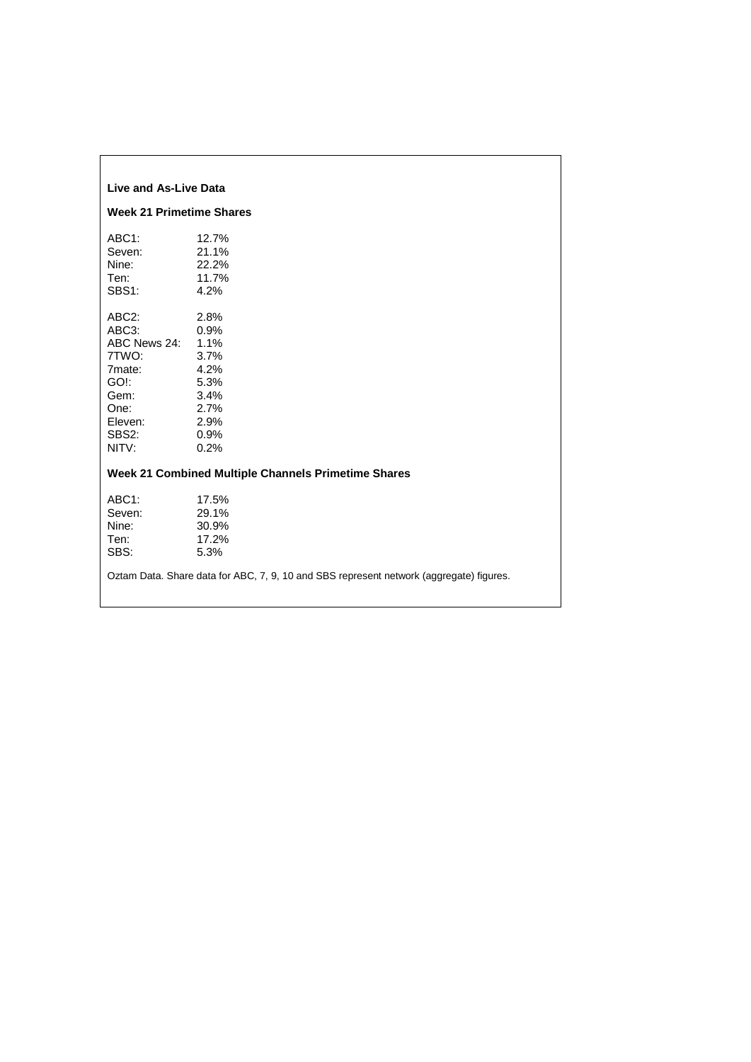| Live and As-Live Data                                                                                  |                                                                                                                                     |
|--------------------------------------------------------------------------------------------------------|-------------------------------------------------------------------------------------------------------------------------------------|
| <b>Week 21 Primetime Shares</b>                                                                        |                                                                                                                                     |
| ABC1:<br>Seven:<br>Nine:<br>Ten:<br>SBS1:                                                              | 12.7%<br>21.1%<br>22.2%<br>11.7%<br>4.2%                                                                                            |
| ABC2:<br>ABC3:<br>ABC News 24:<br>7TWO:<br>7mate:<br>GO!:<br>Gem:<br>One:<br>Eleven:<br>SBS2:<br>NITV: | 2.8%<br>0.9%<br>1.1%<br>3.7%<br>4.2%<br>5.3%<br>3.4%<br>2.7%<br>2.9%<br>0.9%<br>0.2%                                                |
|                                                                                                        | Week 21 Combined Multiple Channels Primetime Shares                                                                                 |
| ABC1:<br>Seven:<br>Nine:<br>Ten:<br>SBS:                                                               | 17.5%<br>29.1%<br>30.9%<br>17.2%<br>5.3%<br>Oztam Data. Share data for ABC, 7, 9, 10 and SBS represent network (aggregate) figures. |
|                                                                                                        |                                                                                                                                     |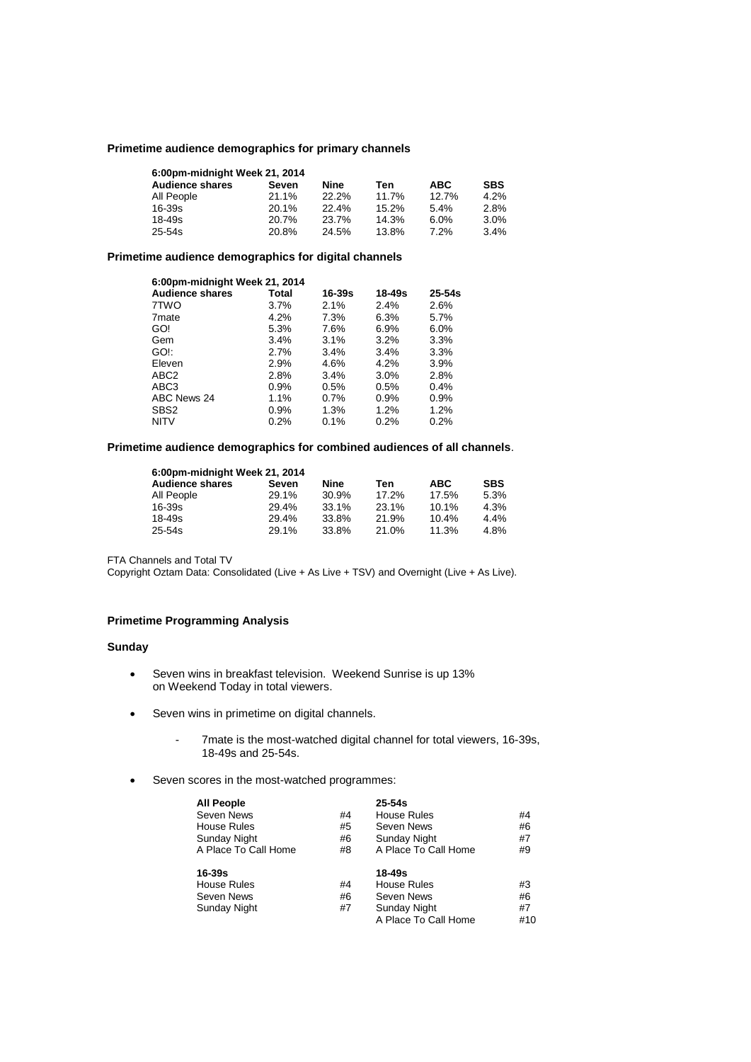## **Primetime audience demographics for primary channels**

| 6:00pm-midnight Week 21, 2014 |       |       |       |            |            |  |  |  |
|-------------------------------|-------|-------|-------|------------|------------|--|--|--|
| <b>Audience shares</b>        | Seven | Nine  | Ten   | <b>ABC</b> | <b>SBS</b> |  |  |  |
| All People                    | 21.1% | 22.2% | 11.7% | 12.7%      | 4.2%       |  |  |  |
| $16 - 39s$                    | 20.1% | 22.4% | 15.2% | 5.4%       | 2.8%       |  |  |  |
| $18 - 49s$                    | 20.7% | 23.7% | 14.3% | 6.0%       | 3.0%       |  |  |  |
| $25 - 54s$                    | 20.8% | 24.5% | 13.8% | 7.2%       | 3.4%       |  |  |  |

# **Primetime audience demographics for digital channels**

| 6:00pm-midnight Week 21, 2014 |              |        |        |            |
|-------------------------------|--------------|--------|--------|------------|
| <b>Audience shares</b>        | <b>Total</b> | 16-39s | 18-49s | $25 - 54s$ |
| 7TWO                          | $3.7\%$      | 2.1%   | 2.4%   | 2.6%       |
| 7 <sub>mate</sub>             | 4.2%         | 7.3%   | 6.3%   | 5.7%       |
| GO!                           | 5.3%         | 7.6%   | 6.9%   | 6.0%       |
| Gem                           | 3.4%         | 3.1%   | 3.2%   | 3.3%       |
| GO!:                          | 2.7%         | 3.4%   | 3.4%   | 3.3%       |
| Eleven                        | 2.9%         | 4.6%   | 4.2%   | 3.9%       |
| ABC <sub>2</sub>              | 2.8%         | 3.4%   | 3.0%   | 2.8%       |
| ABC3                          | $0.9\%$      | 0.5%   | 0.5%   | 0.4%       |
| ABC News 24                   | 1.1%         | 0.7%   | 0.9%   | 0.9%       |
| SBS <sub>2</sub>              | $0.9\%$      | 1.3%   | 1.2%   | 1.2%       |
| <b>NITV</b>                   | 0.2%         | 0.1%   | 0.2%   | 0.2%       |

# **Primetime audience demographics for combined audiences of all channels**.

| 6:00pm-midnight Week 21, 2014 |       |       |       |            |            |  |  |  |
|-------------------------------|-------|-------|-------|------------|------------|--|--|--|
| <b>Audience shares</b>        | Seven | Nine  | Ten   | <b>ABC</b> | <b>SBS</b> |  |  |  |
| All People                    | 29.1% | 30.9% | 17.2% | 17.5%      | 5.3%       |  |  |  |
| 16-39s                        | 29.4% | 33.1% | 23.1% | 10.1%      | 4.3%       |  |  |  |
| 18-49s                        | 29.4% | 33.8% | 21.9% | 10.4%      | 4.4%       |  |  |  |
| $25 - 54s$                    | 29.1% | 33.8% | 21.0% | 11.3%      | 4.8%       |  |  |  |

FTA Channels and Total TV

Copyright Oztam Data: Consolidated (Live + As Live + TSV) and Overnight (Live + As Live).

# **Primetime Programming Analysis**

## **Sunday**

- Seven wins in breakfast television. Weekend Sunrise is up 13% on Weekend Today in total viewers.
- Seven wins in primetime on digital channels.
	- 7mate is the most-watched digital channel for total viewers, 16-39s, 18-49s and 25-54s.
- Seven scores in the most-watched programmes:

| <b>All People</b>    |    | $25 - 54s$           |     |
|----------------------|----|----------------------|-----|
| Seven News           | #4 | House Rules          | #4  |
| <b>House Rules</b>   | #5 | Seven News           | #6  |
| <b>Sunday Night</b>  | #6 | <b>Sunday Night</b>  | #7  |
| A Place To Call Home | #8 | A Place To Call Home | #9  |
| 16-39s               |    | 18-49s               |     |
| House Rules          | #4 | House Rules          | #3  |
| Seven News           | #6 | Seven News           | #6  |
| <b>Sunday Night</b>  | #7 | <b>Sunday Night</b>  | #7  |
|                      |    | A Place To Call Home | #10 |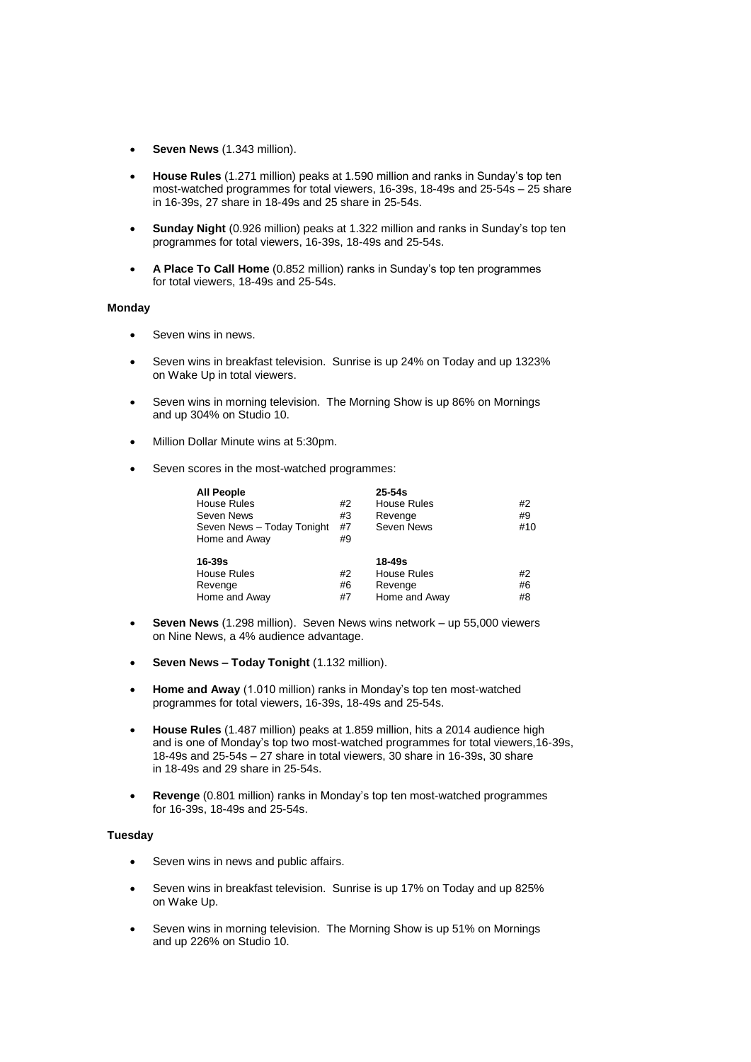- **Seven News** (1.343 million).
- **House Rules** (1.271 million) peaks at 1.590 million and ranks in Sunday's top ten most-watched programmes for total viewers, 16-39s, 18-49s and 25-54s – 25 share in 16-39s, 27 share in 18-49s and 25 share in 25-54s.
- **Sunday Night** (0.926 million) peaks at 1.322 million and ranks in Sunday's top ten programmes for total viewers, 16-39s, 18-49s and 25-54s.
- **A Place To Call Home** (0.852 million) ranks in Sunday's top ten programmes for total viewers, 18-49s and 25-54s.

### **Monday**

- **Seven wins in news.**
- Seven wins in breakfast television. Sunrise is up 24% on Today and up 1323% on Wake Up in total viewers.
- Seven wins in morning television. The Morning Show is up 86% on Mornings and up 304% on Studio 10.
- Million Dollar Minute wins at 5:30pm.
- Seven scores in the most-watched programmes:

| <b>All People</b>          |    | $25 - 54s$    |     |
|----------------------------|----|---------------|-----|
| House Rules                | #2 | House Rules   | #2  |
| Seven News                 | #3 | Revenge       | #9  |
| Seven News - Today Tonight | #7 | Seven News    | #10 |
| Home and Away              | #9 |               |     |
| $16-39s$                   |    | 18-49s        |     |
| <b>House Rules</b>         | #2 | House Rules   | #2  |
| Revenge                    | #6 | Revenge       | #6  |
| Home and Away              | #7 | Home and Away | #8  |

- **Seven News** (1.298 million). Seven News wins network up 55,000 viewers on Nine News, a 4% audience advantage.
- **Seven News – Today Tonight** (1.132 million).
- **Home and Away** (1.010 million) ranks in Monday's top ten most-watched programmes for total viewers, 16-39s, 18-49s and 25-54s.
- **House Rules** (1.487 million) peaks at 1.859 million, hits a 2014 audience high and is one of Monday's top two most-watched programmes for total viewers,16-39s, 18-49s and 25-54s – 27 share in total viewers, 30 share in 16-39s, 30 share in 18-49s and 29 share in 25-54s.
- **Revenge** (0.801 million) ranks in Monday's top ten most-watched programmes for 16-39s, 18-49s and 25-54s.

### **Tuesday**

- Seven wins in news and public affairs.
- Seven wins in breakfast television. Sunrise is up 17% on Today and up 825% on Wake Up.
- Seven wins in morning television. The Morning Show is up 51% on Mornings and up 226% on Studio 10.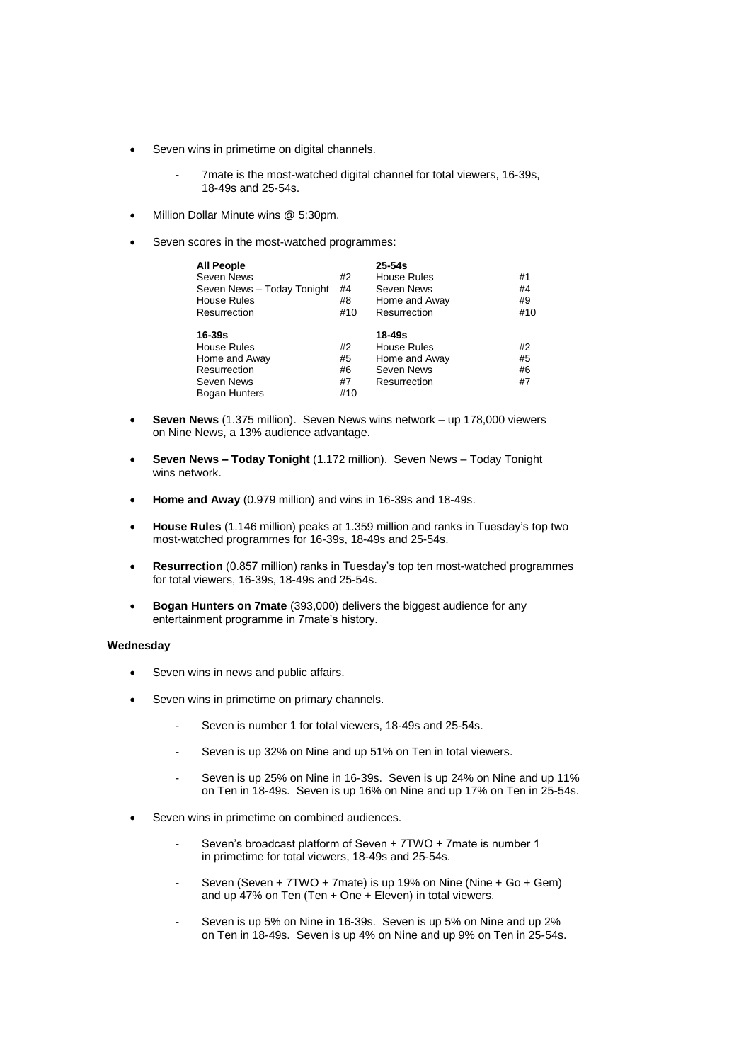- Seven wins in primetime on digital channels.
	- 7mate is the most-watched digital channel for total viewers, 16-39s, 18-49s and 25-54s.
- Million Dollar Minute wins @ 5:30pm.
- Seven scores in the most-watched programmes:

| <b>All People</b>          |     | $25 - 54s$         |     |
|----------------------------|-----|--------------------|-----|
| Seven News                 | #2  | House Rules        | #1  |
| Seven News - Today Tonight | #4  | Seven News         | #4  |
| <b>House Rules</b>         | #8  | Home and Away      | #9  |
| Resurrection               | #10 | Resurrection       | #10 |
| $16 - 39s$                 |     | $18 - 49s$         |     |
| <b>House Rules</b>         | #2  | <b>House Rules</b> | #2  |
| Home and Away              | #5  | Home and Away      | #5  |
| Resurrection               | #6  | Seven News         | #6  |
|                            |     |                    |     |
| Seven News                 | #7  | Resurrection       | #7  |

- **Seven News** (1.375 million). Seven News wins network up 178,000 viewers on Nine News, a 13% audience advantage.
- **Seven News – Today Tonight** (1.172 million). Seven News Today Tonight wins network.
- **Home and Away** (0.979 million) and wins in 16-39s and 18-49s.
- **House Rules** (1.146 million) peaks at 1.359 million and ranks in Tuesday's top two most-watched programmes for 16-39s, 18-49s and 25-54s.
- **Resurrection** (0.857 million) ranks in Tuesday's top ten most-watched programmes for total viewers, 16-39s, 18-49s and 25-54s.
- **Bogan Hunters on 7mate** (393,000) delivers the biggest audience for any entertainment programme in 7mate's history.

## **Wednesday**

- Seven wins in news and public affairs.
- Seven wins in primetime on primary channels.
	- Seven is number 1 for total viewers, 18-49s and 25-54s.
	- Seven is up 32% on Nine and up 51% on Ten in total viewers.
	- Seven is up 25% on Nine in 16-39s. Seven is up 24% on Nine and up 11% on Ten in 18-49s. Seven is up 16% on Nine and up 17% on Ten in 25-54s.
- Seven wins in primetime on combined audiences.
	- Seven's broadcast platform of Seven + 7TWO + 7mate is number 1 in primetime for total viewers, 18-49s and 25-54s.
	- Seven (Seven + 7TWO + 7mate) is up 19% on Nine (Nine + Go + Gem) and up 47% on Ten (Ten + One + Eleven) in total viewers.
	- Seven is up 5% on Nine in 16-39s. Seven is up 5% on Nine and up 2% on Ten in 18-49s. Seven is up 4% on Nine and up 9% on Ten in 25-54s.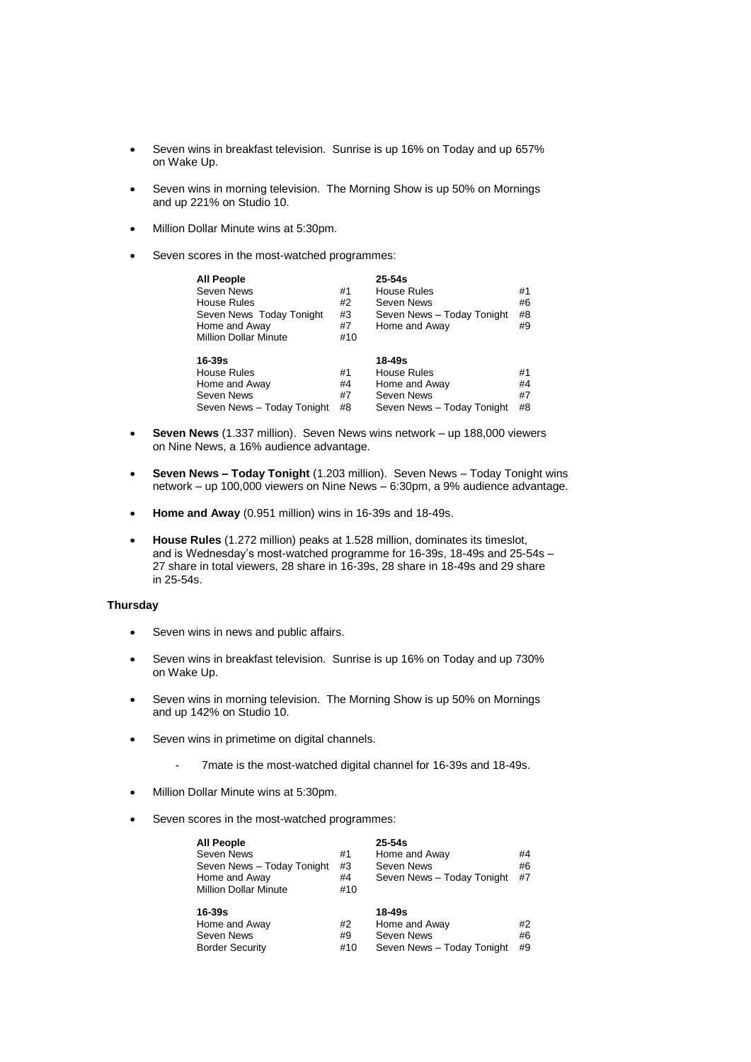- Seven wins in breakfast television. Sunrise is up 16% on Today and up 657% on Wake Up.
- Seven wins in morning television. The Morning Show is up 50% on Mornings and up 221% on Studio 10.
- Million Dollar Minute wins at 5:30pm.
- Seven scores in the most-watched programmes:

| <b>All People</b><br>Seven News<br>House Rules<br>Seven News Today Tonight<br>Home and Away<br><b>Million Dollar Minute</b> | #1<br>#2<br>#3<br>#7<br>#10 | $25 - 54s$<br>House Rules<br>Seven News<br>Seven News - Today Tonight<br>Home and Away | #1<br>#6<br>#8<br>#9 |
|-----------------------------------------------------------------------------------------------------------------------------|-----------------------------|----------------------------------------------------------------------------------------|----------------------|
| $16 - 39s$<br>House Rules<br>Home and Away<br>Seven News<br>Seven News - Today Tonight                                      | #1<br>#4<br>#7<br>#8        | 18-49s<br>House Rules<br>Home and Away<br>Seven News<br>Seven News - Today Tonight     | #1<br>#4<br>#7<br>#8 |

- **Seven News** (1.337 million). Seven News wins network up 188,000 viewers on Nine News, a 16% audience advantage.
- **Seven News – Today Tonight** (1.203 million). Seven News Today Tonight wins network – up 100,000 viewers on Nine News – 6:30pm, a 9% audience advantage.
- **Home and Away** (0.951 million) wins in 16-39s and 18-49s.
- **House Rules** (1.272 million) peaks at 1.528 million, dominates its timeslot, and is Wednesday's most-watched programme for 16-39s, 18-49s and 25-54s – 27 share in total viewers, 28 share in 16-39s, 28 share in 18-49s and 29 share in 25-54s.

# **Thursday**

- Seven wins in news and public affairs.
- Seven wins in breakfast television. Sunrise is up 16% on Today and up 730% on Wake Up.
- Seven wins in morning television. The Morning Show is up 50% on Mornings and up 142% on Studio 10.
- Seven wins in primetime on digital channels.
	- 7mate is the most-watched digital channel for 16-39s and 18-49s.
- Million Dollar Minute wins at 5:30pm.
- Seven scores in the most-watched programmes:

| <b>All People</b>            |     | $25 - 54s$                 |    |
|------------------------------|-----|----------------------------|----|
| Seven News                   | #1  | Home and Away              | #4 |
| Seven News - Today Tonight   | #3  | Seven News                 | #6 |
| Home and Away                | #4  | Seven News - Today Tonight | #7 |
| <b>Million Dollar Minute</b> | #10 |                            |    |
|                              |     |                            |    |
|                              |     |                            |    |
| $16 - 39s$                   |     | 18-49s                     |    |
| Home and Away                | #2  | Home and Away              | #2 |
| Seven News                   | #9  | Seven News                 | #6 |
| <b>Border Security</b>       | #10 | Seven News - Today Tonight | #9 |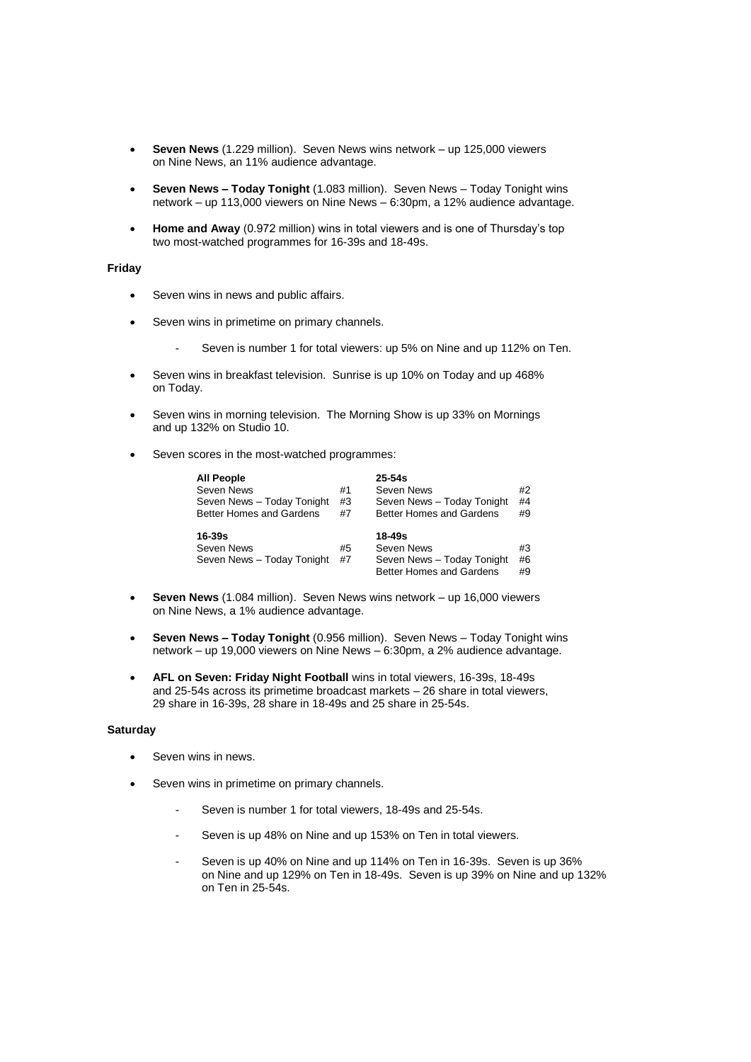- **Seven News** (1.229 million). Seven News wins network up 125,000 viewers on Nine News, an 11% audience advantage.
- **Seven News – Today Tonight** (1.083 million). Seven News Today Tonight wins network – up 113,000 viewers on Nine News – 6:30pm, a 12% audience advantage.
- **Home and Away** (0.972 million) wins in total viewers and is one of Thursday's top two most-watched programmes for 16-39s and 18-49s.

## **Friday**

- Seven wins in news and public affairs.
- Seven wins in primetime on primary channels.
	- Seven is number 1 for total viewers: up 5% on Nine and up 112% on Ten.
- Seven wins in breakfast television. Sunrise is up 10% on Today and up 468% on Today.
- Seven wins in morning television. The Morning Show is up 33% on Mornings and up 132% on Studio 10.
- Seven scores in the most-watched programmes:

| <b>All People</b><br>Seven News<br>Seven News - Today Tonight<br>Better Homes and Gardens | #1<br>#3<br>#7 | $25-54s$<br>Seven News<br>Seven News - Today Tonight<br><b>Better Homes and Gardens</b>   | #2<br>#4<br>#9 |
|-------------------------------------------------------------------------------------------|----------------|-------------------------------------------------------------------------------------------|----------------|
| 16-39s<br>Seven News<br>Seven News - Today Tonight                                        | #5<br>#7       | $18 - 49s$<br>Seven News<br>Seven News - Today Tonight<br><b>Better Homes and Gardens</b> | #3<br>#6<br>#9 |

- **Seven News** (1.084 million). Seven News wins network up 16,000 viewers on Nine News, a 1% audience advantage.
- **Seven News – Today Tonight** (0.956 million). Seven News Today Tonight wins network – up 19,000 viewers on Nine News – 6:30pm, a 2% audience advantage.
- **AFL on Seven: Friday Night Football** wins in total viewers, 16-39s, 18-49s and 25-54s across its primetime broadcast markets – 26 share in total viewers, 29 share in 16-39s, 28 share in 18-49s and 25 share in 25-54s.

## **Saturday**

- Seven wins in news.
- Seven wins in primetime on primary channels.
	- Seven is number 1 for total viewers, 18-49s and 25-54s.
	- Seven is up 48% on Nine and up 153% on Ten in total viewers.
	- Seven is up 40% on Nine and up 114% on Ten in 16-39s. Seven is up 36% on Nine and up 129% on Ten in 18-49s. Seven is up 39% on Nine and up 132% on Ten in 25-54s.